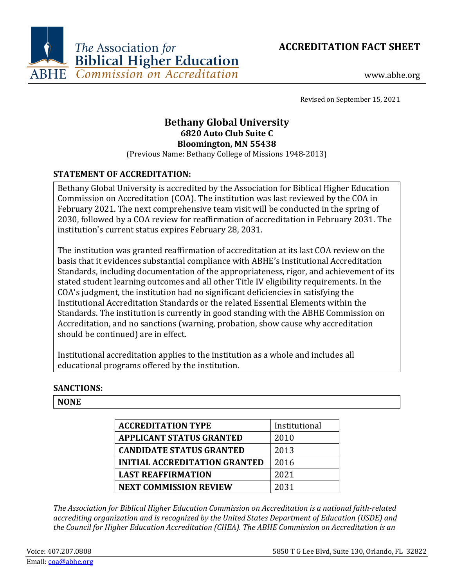



www.abhe.org

Revised on September 15, 2021

# **Bethany Global University 6820 Auto Club Suite C Bloomington, MN 55438**

(Previous Name: Bethany College of Missions 1948-2013)

## **STATEMENT OF ACCREDITATION:**

Bethany Global University is accredited by the Association for Biblical Higher Education Commission on Accreditation (COA). The institution was last reviewed by the COA in February 2021. The next comprehensive team visit will be conducted in the spring of 2030, followed by a COA review for reaffirmation of accreditation in February 2031. The institution's current status expires February 28, 2031.

The institution was granted reaffirmation of accreditation at its last COA review on the basis that it evidences substantial compliance with ABHE's Institutional Accreditation Standards, including documentation of the appropriateness, rigor, and achievement of its stated student learning outcomes and all other Title IV eligibility requirements. In the COA's judgment, the institution had no significant deficiencies in satisfying the Institutional Accreditation Standards or the related Essential Elements within the Standards. The institution is currently in good standing with the ABHE Commission on Accreditation, and no sanctions (warning, probation, show cause why accreditation should be continued) are in effect.

Institutional accreditation applies to the institution as a whole and includes all educational programs offered by the institution.

## **SANCTIONS:**

#### **NONE**

| <b>ACCREDITATION TYPE</b>            | Institutional |
|--------------------------------------|---------------|
| <b>APPLICANT STATUS GRANTED</b>      | 2010          |
| <b>CANDIDATE STATUS GRANTED</b>      | 2013          |
| <b>INITIAL ACCREDITATION GRANTED</b> | 2016          |
| <b>LAST REAFFIRMATION</b>            | 2021          |
| <b>NEXT COMMISSION REVIEW</b>        | 2031          |

*The Association for Biblical Higher Education Commission on Accreditation is a national faith-related accrediting organization and is recognized by the United States Department of Education (USDE) and the Council for Higher Education Accreditation (CHEA). The ABHE Commission on Accreditation is an*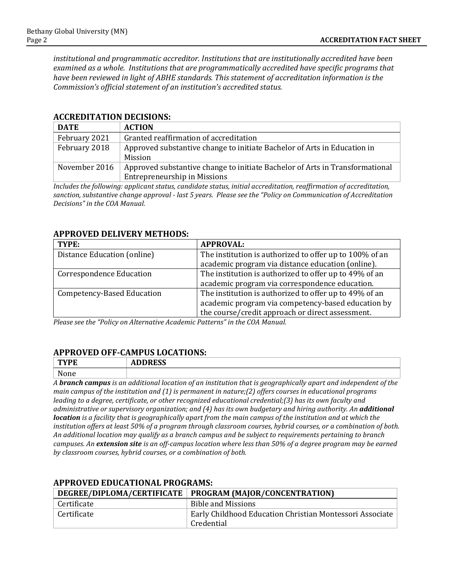*institutional and programmatic accreditor. Institutions that are institutionally accredited have been examined as a whole. Institutions that are programmatically accredited have specific programs that have been reviewed in light of ABHE standards. This statement of accreditation information is the Commission's official statement of an institution's accredited status.*

| <b>DATE</b>   | <b>ACTION</b>                                                                |
|---------------|------------------------------------------------------------------------------|
| February 2021 | Granted reaffirmation of accreditation                                       |
| February 2018 | Approved substantive change to initiate Bachelor of Arts in Education in     |
|               | Mission                                                                      |
| November 2016 | Approved substantive change to initiate Bachelor of Arts in Transformational |
|               | <b>Entrepreneurship in Missions</b>                                          |

#### **ACCREDITATION DECISIONS:**

*Includes the following: applicant status, candidate status, initial accreditation, reaffirmation of accreditation, sanction, substantive change approval - last 5 years. Please see the "Policy on Communication of Accreditation Decisions" in the COA Manual.*

#### **APPROVED DELIVERY METHODS:**

| TYPE:                             | <b>APPROVAL:</b>                                        |
|-----------------------------------|---------------------------------------------------------|
| Distance Education (online)       | The institution is authorized to offer up to 100% of an |
|                                   | academic program via distance education (online).       |
| Correspondence Education          | The institution is authorized to offer up to 49% of an  |
|                                   | academic program via correspondence education.          |
| <b>Competency-Based Education</b> | The institution is authorized to offer up to 49% of an  |
|                                   | academic program via competency-based education by      |
|                                   | the course/credit approach or direct assessment.        |

*Please see the "Policy on Alternative Academic Patterns" in the COA Manual.*

#### **APPROVED OFF-CAMPUS LOCATIONS:**

| mx/m<br>ЧL        | 10000<br>$\mathbf{\mathbf{a}}$<br>ננשמעי<br>עת |
|-------------------|------------------------------------------------|
| <b>NT</b><br>None |                                                |

*A branch campus is an additional location of an institution that is geographically apart and independent of the main campus of the institution and (1) is permanent in nature;(2) offers courses in educational programs leading to a degree, certificate, or other recognized educational credential;(3) has its own faculty and administrative or supervisory organization; and (4) has its own budgetary and hiring authority. An additional location is a facility that is geographically apart from the main campus of the institution and at which the institution offers at least 50% of a program through classroom courses, hybrid courses, or a combination of both. An additional location may qualify as a branch campus and be subject to requirements pertaining to branch campuses. An extension site is an off-campus location where less than 50% of a degree program may be earned by classroom courses, hybrid courses, or a combination of both.*

| ALLINOVED EDUCATIONAL LINOUNAMIS. |                                                                        |  |
|-----------------------------------|------------------------------------------------------------------------|--|
|                                   | DEGREE/DIPLOMA/CERTIFICATE   PROGRAM (MAJOR/CONCENTRATION)             |  |
| Certificate                       | Bible and Missions                                                     |  |
| Certificate                       | Early Childhood Education Christian Montessori Associate<br>Credential |  |

# **APPROVED EDUCATIONAL PROGRAMS:**